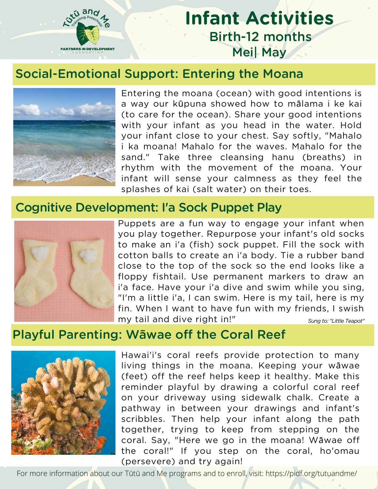

# **Infant Activities** Birth-12 months Mei| May

#### Social-Emotional Support: Entering the Moana



Entering the moana (ocean) with good intentions is a way our kūpuna showed how to mālama i ke kai (to care for the ocean). Share your good intentions with your infant as you head in the water. Hold your infant close to your chest. Say softly, "Mahalo i ka moana! Mahalo for the waves. Mahalo for the sand." Take three cleansing hanu (breaths) in rhythm with the movement of the moana. Your infant will sense your calmness as they feel the splashes of kai (salt water) on their toes.

#### Cognitive Development: I'a Sock Puppet Play



Puppets are a fun way to engage your infant when you play together. Repurpose your infant's old socks to make an i'a (fish) sock puppet. Fill the sock with cotton balls to create an i'a body. Tie a rubber band close to the top of the sock so the end looks like a floppy fishtail. Use permanent markers to draw an i'a face. Have your i'a dive and swim while you sing, "I'm a little i'a, I can swim. Here is my tail, here is my fin. When I want to have fun with my friends, I swish my tail and dive right in!" *Sung to: "Little Teapot"*

### Playful Parenting: Wāwae off the Coral Reef



Hawai'i's coral reefs provide protection to many living things in the moana. Keeping your wāwae (feet) off the reef helps keep it healthy. Make this reminder playful by drawing a colorful coral reef on your driveway using sidewalk chalk. Create a pathway in between your drawings and infant's scribbles. Then help your infant along the path together, trying to keep from stepping on the coral. Say, "Here we go in the moana! Wāwae off the coral!" If you step on the coral, ho'omau (persevere) and try again!

For more information about our Tūtū and Me programs and to enroll, visit: https://pidf.org/tutuandme/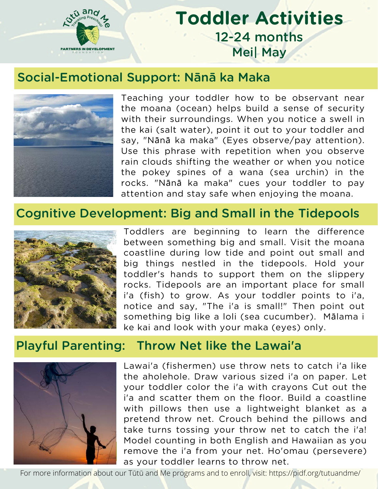

# **Toddler Activities** 12-24 months Mei| May

#### Social-Emotional Support: Nānā ka Maka



Teaching your toddler how to be observant near the moana (ocean) helps build a sense of security with their surroundings. When you notice a swell in the kai (salt water), point it out to your toddler and say, "Nānā ka maka" (Eyes observe/pay attention). Use this phrase with repetition when you observe rain clouds shifting the weather or when you notice the pokey spines of a wana (sea urchin) in the rocks. "Nānā ka maka" cues your toddler to pay attention and stay safe when enjoying the moana.

### Cognitive Development: Big and Small in the Tidepools



Toddlers are beginning to learn the difference between something big and small. Visit the moana coastline during low tide and point out small and big things nestled in the tidepools. Hold your toddler's hands to support them on the slippery rocks. Tidepools are an important place for small i'a (fish) to grow. As your toddler points to i'a, notice and say, "The i'a is small!" Then point out something big like a loli (sea cucumber). Mālama i ke kai and look with your maka (eyes) only.

#### Playful Parenting: Throw Net like the Lawai'a



Lawai'a (fishermen) use throw nets to catch i'a like the aholehole. Draw various sized i'a on paper. Let your toddler color the i'a with crayons Cut out the i'a and scatter them on the floor. Build a coastline with pillows then use a lightweight blanket as a pretend throw net. Crouch behind the pillows and take turns tossing your throw net to catch the i'a! Model counting in both English and Hawaiian as you remove the i'a from your net. Ho'omau (persevere) as your toddler learns to throw net.

For more information about our Tūtū and Me programs and to enroll, visit: https://pidf.org/tutuandme/